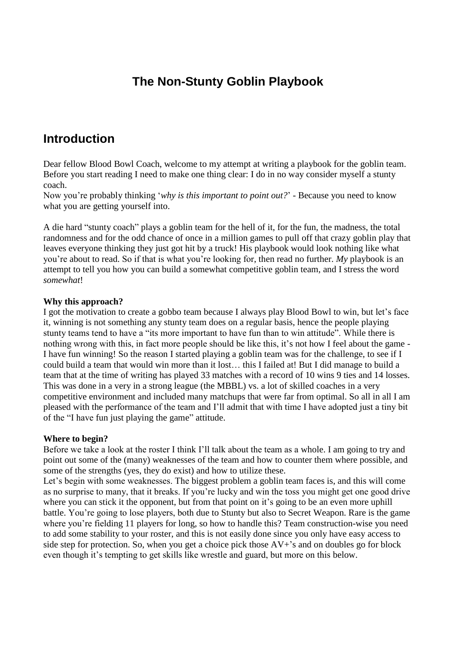## **The Non-Stunty Goblin Playbook**

## **Introduction**

Dear fellow Blood Bowl Coach, welcome to my attempt at writing a playbook for the goblin team. Before you start reading I need to make one thing clear: I do in no way consider myself a stunty coach.

Now you're probably thinking '*why is this important to point out?*' - Because you need to know what you are getting yourself into.

A die hard "stunty coach" plays a goblin team for the hell of it, for the fun, the madness, the total randomness and for the odd chance of once in a million games to pull off that crazy goblin play that leaves everyone thinking they just got hit by a truck! His playbook would look nothing like what you're about to read. So if that is what you're looking for, then read no further. *My* playbook is an attempt to tell you how you can build a somewhat competitive goblin team, and I stress the word *somewhat*!

### **Why this approach?**

I got the motivation to create a gobbo team because I always play Blood Bowl to win, but let's face it, winning is not something any stunty team does on a regular basis, hence the people playing stunty teams tend to have a "its more important to have fun than to win attitude". While there is nothing wrong with this, in fact more people should be like this, it's not how I feel about the game - I have fun winning! So the reason I started playing a goblin team was for the challenge, to see if I could build a team that would win more than it lost… this I failed at! But I did manage to build a team that at the time of writing has played 33 matches with a record of 10 wins 9 ties and 14 losses. This was done in a very in a strong league (the MBBL) vs. a lot of skilled coaches in a very competitive environment and included many matchups that were far from optimal. So all in all I am pleased with the performance of the team and I'll admit that with time I have adopted just a tiny bit of the "I have fun just playing the game" attitude.

### **Where to begin?**

Before we take a look at the roster I think I'll talk about the team as a whole. I am going to try and point out some of the (many) weaknesses of the team and how to counter them where possible, and some of the strengths (yes, they do exist) and how to utilize these.

Let's begin with some weaknesses. The biggest problem a goblin team faces is, and this will come as no surprise to many, that it breaks. If you're lucky and win the toss you might get one good drive where you can stick it the opponent, but from that point on it's going to be an even more uphill battle. You're going to lose players, both due to Stunty but also to Secret Weapon. Rare is the game where you're fielding 11 players for long, so how to handle this? Team construction-wise you need to add some stability to your roster, and this is not easily done since you only have easy access to side step for protection. So, when you get a choice pick those  $AV+$ 's and on doubles go for block even though it's tempting to get skills like wrestle and guard, but more on this below.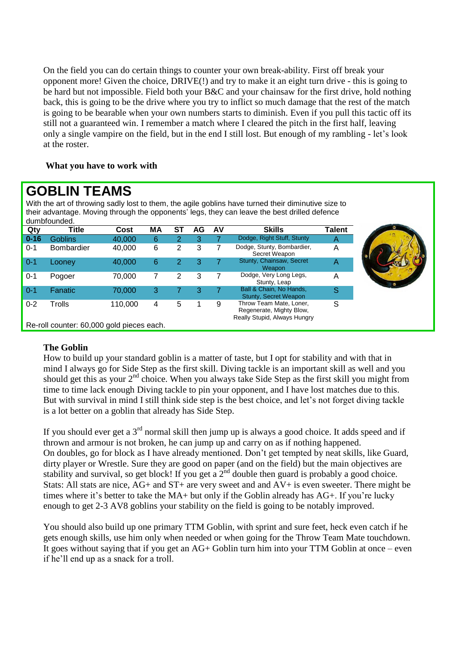On the field you can do certain things to counter your own break-ability. First off break your opponent more! Given the choice, DRIVE(!) and try to make it an eight turn drive - this is going to be hard but not impossible. Field both your B&C and your chainsaw for the first drive, hold nothing back, this is going to be the drive where you try to inflict so much damage that the rest of the match is going to be bearable when your own numbers starts to diminish. Even if you pull this tactic off its still not a guaranteed win. I remember a match where I cleared the pitch in the first half, leaving only a single vampire on the field, but in the end I still lost. But enough of my rambling - let's look at the roster.

## **What you have to work with**

# **GOBLIN TEAMS**

With the art of throwing sadly lost to them, the agile goblins have turned their diminutive size to their advantage. Moving through the opponents' legs, they can leave the best drilled defence dumbfounded.

| uumpivunutu. |                                           |         |    |           |    |    |                                                                                     |        |
|--------------|-------------------------------------------|---------|----|-----------|----|----|-------------------------------------------------------------------------------------|--------|
| Qty          | Title                                     | Cost    | МA | <b>ST</b> | AG | AV | <b>Skills</b>                                                                       | Talent |
| $0 - 16$     | <b>Goblins</b>                            | 40,000  | 6  | 2         | 3  |    | Dodge, Right Stuff, Stunty                                                          | A      |
| $0 - 1$      | <b>Bombardier</b>                         | 40,000  | 6  | 2         | 3  |    | Dodge, Stunty, Bombardier,<br>Secret Weapon                                         | A      |
| $0 - 1$      | Looney                                    | 40,000  | 6  | 2         | 3  |    | Stunty, Chainsaw, Secret<br>Weapon                                                  | A      |
| $0 - 1$      | Pogoer                                    | 70.000  |    | 2         | 3  |    | Dodge, Very Long Legs,<br>Stunty, Leap                                              | Α      |
| $0 - 1$      | Fanatic                                   | 70,000  | 3  |           | 3  |    | Ball & Chain, No Hands,<br><b>Stunty, Secret Weapon</b>                             | S      |
| $0 - 2$      | Trolls                                    | 110,000 | 4  | 5         |    | 9  | Throw Team Mate, Loner,<br>Regenerate, Mighty Blow,<br>Really Stupid, Always Hungry | S      |
|              | Re-roll counter: 60,000 gold pieces each. |         |    |           |    |    |                                                                                     |        |

## **The Goblin**

How to build up your standard goblin is a matter of taste, but I opt for stability and with that in mind I always go for Side Step as the first skill. Diving tackle is an important skill as well and you should get this as your  $2<sup>nd</sup>$  choice. When you always take Side Step as the first skill you might from time to time lack enough Diving tackle to pin your opponent, and I have lost matches due to this. But with survival in mind I still think side step is the best choice, and let's not forget diving tackle is a lot better on a goblin that already has Side Step.

If you should ever get a  $3<sup>rd</sup>$  normal skill then jump up is always a good choice. It adds speed and if thrown and armour is not broken, he can jump up and carry on as if nothing happened. On doubles, go for block as I have already mentioned. Don't get tempted by neat skills, like Guard, dirty player or Wrestle. Sure they are good on paper (and on the field) but the main objectives are stability and survival, so get block! If you get a  $2^{nd}$  double then guard is probably a good choice. Stats: All stats are nice, AG+ and ST+ are very sweet and and AV+ is even sweeter. There might be times where it's better to take the MA+ but only if the Goblin already has AG+. If you're lucky enough to get 2-3 AV8 goblins your stability on the field is going to be notably improved.

You should also build up one primary TTM Goblin, with sprint and sure feet, heck even catch if he gets enough skills, use him only when needed or when going for the Throw Team Mate touchdown. It goes without saying that if you get an AG+ Goblin turn him into your TTM Goblin at once – even if he'll end up as a snack for a troll.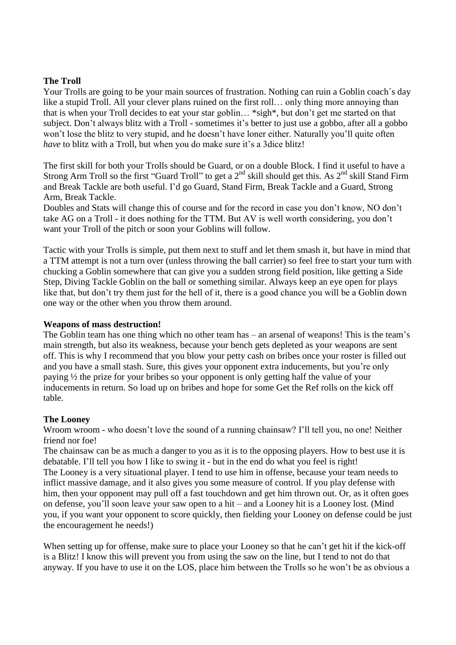## **The Troll**

Your Trolls are going to be your main sources of frustration. Nothing can ruin a Goblin coach's day like a stupid Troll. All your clever plans ruined on the first roll... only thing more annoying than that is when your Troll decides to eat your star goblin… \*sigh\*, but don't get me started on that subject. Don't always blitz with a Troll - sometimes it's better to just use a gobbo, after all a gobbo won't lose the blitz to very stupid, and he doesn't have loner either. Naturally you'll quite often *have* to blitz with a Troll, but when you do make sure it's a 3dice blitz!

The first skill for both your Trolls should be Guard, or on a double Block. I find it useful to have a Strong Arm Troll so the first "Guard Troll" to get a  $2<sup>nd</sup>$  skill should get this. As  $2<sup>nd</sup>$  skill Stand Firm and Break Tackle are both useful. I'd go Guard, Stand Firm, Break Tackle and a Guard, Strong Arm, Break Tackle.

Doubles and Stats will change this of course and for the record in case you don't know, NO don't take AG on a Troll - it does nothing for the TTM. But AV is well worth considering, you don't want your Troll of the pitch or soon your Goblins will follow.

Tactic with your Trolls is simple, put them next to stuff and let them smash it, but have in mind that a TTM attempt is not a turn over (unless throwing the ball carrier) so feel free to start your turn with chucking a Goblin somewhere that can give you a sudden strong field position, like getting a Side Step, Diving Tackle Goblin on the ball or something similar. Always keep an eye open for plays like that, but don't try them just for the hell of it, there is a good chance you will be a Goblin down one way or the other when you throw them around.

### **Weapons of mass destruction!**

The Goblin team has one thing which no other team has – an arsenal of weapons! This is the team's main strength, but also its weakness, because your bench gets depleted as your weapons are sent off. This is why I recommend that you blow your petty cash on bribes once your roster is filled out and you have a small stash. Sure, this gives your opponent extra inducements, but you're only paying ½ the prize for your bribes so your opponent is only getting half the value of your inducements in return. So load up on bribes and hope for some Get the Ref rolls on the kick off table.

## **The Looney**

Wroom wroom - who doesn't love the sound of a running chainsaw? I'll tell you, no one! Neither friend nor foe!

The chainsaw can be as much a danger to you as it is to the opposing players. How to best use it is debatable. I'll tell you how I like to swing it - but in the end do what you feel is right! The Looney is a very situational player. I tend to use him in offense, because your team needs to inflict massive damage, and it also gives you some measure of control. If you play defense with him, then your opponent may pull off a fast touchdown and get him thrown out. Or, as it often goes on defense, you'll soon leave your saw open to a hit – and a Looney hit is a Looney lost. (Mind you, if you want your opponent to score quickly, then fielding your Looney on defense could be just the encouragement he needs!)

When setting up for offense, make sure to place your Looney so that he can't get hit if the kick-off is a Blitz! I know this will prevent you from using the saw on the line, but I tend to not do that anyway. If you have to use it on the LOS, place him between the Trolls so he won't be as obvious a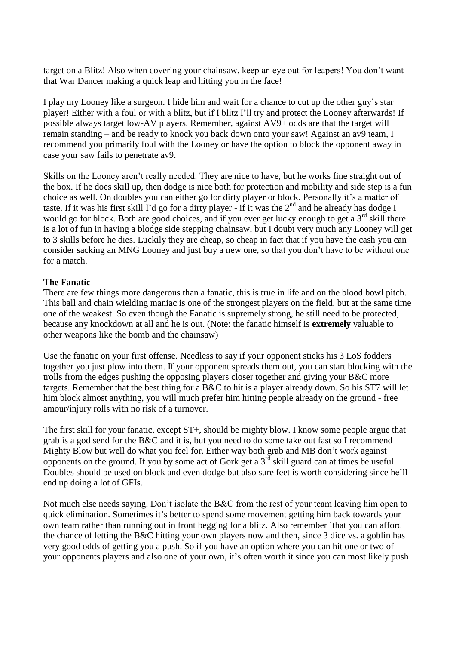target on a Blitz! Also when covering your chainsaw, keep an eye out for leapers! You don't want that War Dancer making a quick leap and hitting you in the face!

I play my Looney like a surgeon. I hide him and wait for a chance to cut up the other guy's star player! Either with a foul or with a blitz, but if I blitz I'll try and protect the Looney afterwards! If possible always target low-AV players. Remember, against AV9+ odds are that the target will remain standing – and be ready to knock you back down onto your saw! Against an av9 team, I recommend you primarily foul with the Looney or have the option to block the opponent away in case your saw fails to penetrate av9.

Skills on the Looney aren't really needed. They are nice to have, but he works fine straight out of the box. If he does skill up, then dodge is nice both for protection and mobility and side step is a fun choice as well. On doubles you can either go for dirty player or block. Personally it's a matter of taste. If it was his first skill I'd go for a dirty player - if it was the  $2<sup>nd</sup>$  and he already has dodge I would go for block. Both are good choices, and if you ever get lucky enough to get a  $3<sup>rd</sup>$  skill there is a lot of fun in having a blodge side stepping chainsaw, but I doubt very much any Looney will get to 3 skills before he dies. Luckily they are cheap, so cheap in fact that if you have the cash you can consider sacking an MNG Looney and just buy a new one, so that you don't have to be without one for a match.

## **The Fanatic**

There are few things more dangerous than a fanatic, this is true in life and on the blood bowl pitch. This ball and chain wielding maniac is one of the strongest players on the field, but at the same time one of the weakest. So even though the Fanatic is supremely strong, he still need to be protected, because any knockdown at all and he is out. (Note: the fanatic himself is **extremely** valuable to other weapons like the bomb and the chainsaw)

Use the fanatic on your first offense. Needless to say if your opponent sticks his 3 LoS fodders together you just plow into them. If your opponent spreads them out, you can start blocking with the trolls from the edges pushing the opposing players closer together and giving your B&C more targets. Remember that the best thing for a B&C to hit is a player already down. So his ST7 will let him block almost anything, you will much prefer him hitting people already on the ground - free amour/injury rolls with no risk of a turnover.

The first skill for your fanatic, except  $ST<sub>+</sub>$ , should be mighty blow. I know some people argue that grab is a god send for the B&C and it is, but you need to do some take out fast so I recommend Mighty Blow but well do what you feel for. Either way both grab and MB don't work against opponents on the ground. If you by some act of Gork get a  $3<sup>rd</sup>$  skill guard can at times be useful. Doubles should be used on block and even dodge but also sure feet is worth considering since he'll end up doing a lot of GFIs.

Not much else needs saying. Don't isolate the B&C from the rest of your team leaving him open to quick elimination. Sometimes it's better to spend some movement getting him back towards your own team rather than running out in front begging for a blitz. Also remember ´that you can afford the chance of letting the B&C hitting your own players now and then, since 3 dice vs. a goblin has very good odds of getting you a push. So if you have an option where you can hit one or two of your opponents players and also one of your own, it's often worth it since you can most likely push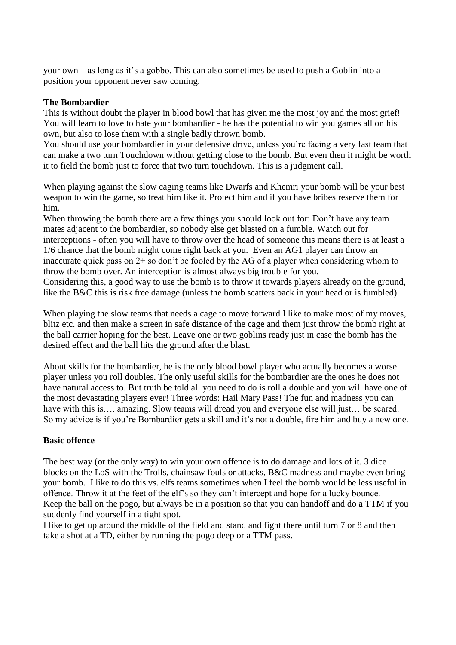your own – as long as it's a gobbo. This can also sometimes be used to push a Goblin into a position your opponent never saw coming.

### **The Bombardier**

This is without doubt the player in blood bowl that has given me the most joy and the most grief! You will learn to love to hate your bombardier - he has the potential to win you games all on his own, but also to lose them with a single badly thrown bomb.

You should use your bombardier in your defensive drive, unless you're facing a very fast team that can make a two turn Touchdown without getting close to the bomb. But even then it might be worth it to field the bomb just to force that two turn touchdown. This is a judgment call.

When playing against the slow caging teams like Dwarfs and Khemri your bomb will be your best weapon to win the game, so treat him like it. Protect him and if you have bribes reserve them for him.

When throwing the bomb there are a few things you should look out for: Don't have any team mates adjacent to the bombardier, so nobody else get blasted on a fumble. Watch out for interceptions - often you will have to throw over the head of someone this means there is at least a 1/6 chance that the bomb might come right back at you. Even an AG1 player can throw an inaccurate quick pass on 2+ so don't be fooled by the AG of a player when considering whom to throw the bomb over. An interception is almost always big trouble for you.

Considering this, a good way to use the bomb is to throw it towards players already on the ground, like the B&C this is risk free damage (unless the bomb scatters back in your head or is fumbled)

When playing the slow teams that needs a cage to move forward I like to make most of my moves, blitz etc. and then make a screen in safe distance of the cage and them just throw the bomb right at the ball carrier hoping for the best. Leave one or two goblins ready just in case the bomb has the desired effect and the ball hits the ground after the blast.

About skills for the bombardier, he is the only blood bowl player who actually becomes a worse player unless you roll doubles. The only useful skills for the bombardier are the ones he does not have natural access to. But truth be told all you need to do is roll a double and you will have one of the most devastating players ever! Three words: Hail Mary Pass! The fun and madness you can have with this is…. amazing. Slow teams will dread you and everyone else will just… be scared. So my advice is if you're Bombardier gets a skill and it's not a double, fire him and buy a new one.

#### **Basic offence**

The best way (or the only way) to win your own offence is to do damage and lots of it. 3 dice blocks on the LoS with the Trolls, chainsaw fouls or attacks, B&C madness and maybe even bring your bomb. I like to do this vs. elfs teams sometimes when I feel the bomb would be less useful in offence. Throw it at the feet of the elf's so they can't intercept and hope for a lucky bounce. Keep the ball on the pogo, but always be in a position so that you can handoff and do a TTM if you suddenly find yourself in a tight spot.

I like to get up around the middle of the field and stand and fight there until turn 7 or 8 and then take a shot at a TD, either by running the pogo deep or a TTM pass.